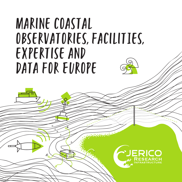## Marine coastal observatories, facilities, expertise and data for Europe

10

 $\mathscr{C}_{\sigma}$ 

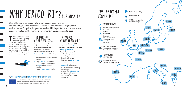This project has received funding from the European Commission's Horizon 2020 Research and Innovation programme under grant agreement No 654410. Project coordinator: IFREMER, France.







BIOLOGY (Benthic/Pelagic)

PHYSICS (Hydrodynamics

# WHY JERICO-RI\*? OUR MISSION

Strengthening a European network of coastal observatories and providing a sound operational service for the delivery of high quality environmental (physical, biogeochemical and biological) data and information products related to the marine environment in European coastal seas.

hese are the key words that have been guiding the development hese are the key wo<br>that have been guid<br>the development<br>of the JERICO Research Infrastructure for almost 10 years. Discover in this booklet the how, the why, the who and the what: embark with us on the JERICO ship to share our vision, values and goals.



#### The mission of the Jerico-ri

To provide a powerful and structured EU Research Infrastructure dedicated to observe and monitor the marine coastal domain to:

- Access **solutions** and facilities as **services** for researchers and users of the coastal marine domain.
- Create **product** prototypes for EU marine core services and **users** of the coastal domain.
- Support **excellence** in marine coastal **research**.



#### The values of the JERICO-RI

A strong joint effort at EU level to **harmonise observations**, from the sensors to the provision of **high quality data.** The JERICO Research

Infrastructure projects are investing in:

- Scientifically sound simultaneous **observations** of physical, chemical and biological parameters.
- **Innovation** in key areas of biogeochemical observing technologies.
- Synergy and **collaboration** to enhance efficiency and power of the coastal community.

Biogeo-chemistry

#### \*Joint European Research Infrastructure of Coastal Observatories

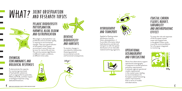# WHAT? JOINT OBSERVATION



#### Pelagic Biodiversity: phytoplankton, Harmful Algal Bloom and eutrophication

Microalgae or phytoplankton can proliferate and accumulate rapidly, in response to environmental changes. They are a good indicator of the quality of the coastal environment: some of them can be toxic for marine life and man. This activity assesses algal blooms in different trophic conditions, at different time scales.

#### Hydrography and transport

Applied to floating matter distribution (marine litters, phytoplankton…). It provides information about hydrodynamics and derived transport to infer the spatial distribution of not-desirable material and living organisms.



To monitor changes in macrobenthic biodiversity. Assessing potential environmental controls<br>and functional consequences.

#### Coastal carbon fluxes: budget, variability and anthropogenic effect

#### at different time scales. The mand functional consequences.<br> **CHEMICAL** and functional consequences. contaminants and biological responses

To assess the role and responses of the European coastal ocean and marginal seas in the global Carbon cycle, to provide recommendations for a European integrated to monitoring.





Operational oceanography and forecasting

Shows how observations support operational oceanography in response to societal questions and policy requirements. It assesses regional operational models implemented in the coastal ocean, leading to recommendations for European coastal forecasting system improvements both in terms of models and observations.

#### Benthic Biodiversity and habitats

To demonstrate the capacity for monitoring trace levels of hydrophobic substances such as organochlorine pesticides, PAHs and PCBs, and their impact on biological responses using dedicated biosensors.





**let go !**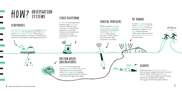**Hi ! Come on**

# HOW? OBSERVATION

### Ferryboxes

**Automated instrument packages** mounted on **'ships of opportunity',** for example on ocean liners **cargo** ships, **ferries or research vessels**. These devices can also be carried by private boats, and yachts that volunteer to participate in collecting measurements.

> $\bullet$  $\ddot{\mathbf{r}}$

> > 10

.<br>1  $\bullet$  $\bullet$ 

 $1<sup>0</sup>$ 

#### Bottom based Observatories

 $\mathscr{L}$ 

**Anchored** monitoring stations located **underwater** and on the **seabed**. These stations can be connected to the **seashore** by a **cable** enabling a continuous high rate data transmission in real time and a high power supply.

### Fixed platforms

**Anchored** monitoring stations located on the **sea-surface**. They host different types of sensors to measure water parameters, marine life indicators and contaminants concentrations. Data transmission is performed in **real time**.

# $\lambda$

&

&

 $\Omega$ o

 $\bullet\bullet\bullet\bullet$ 

 $\bullet$   $\bullet$ 

 $\overline{\mathbf{M}}$ 

### HF Radars

Used for **remotely** measuring ocean **currents**, **waves** and **sea states from shore**. They have the ability to sample **coastal areas** and provide maps of the ocean surface velocities over **hundreds of square km's** simultaneously.

 $\boldsymbol{\mathcal{L}}$ 

#### Gliders

 $\leftarrow$ 

Small autonomous **underwater vehicles** that can be pre-programmed and/or remotely piloted. Gliders collect data in the **water column** such as the temperature, the density, the salinity, the depth, the turbidity, the oxygen and the chlorophyll contents.

#### Coastal Profilers

Perform periodic **hydrology and biochemistry profiling** measurements and helping to estimate **underwater currents**. Periodically, they return to the surface to transmit their data and position via satellite.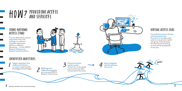

### Identified Objectives

Support researchers from **academy** and **industry** to **mature** coastal scientific knowledge and technologies. Support researchers from<br> **academy** and **industry**<br>
to **mature** coastal scientific<br> **1 3** Build long-term<br> **1 3** Build long-term

Assure **integration** with **Virtual Access and services**.

Build long-term **collaborations** between end-users and JERICO Research Infrastructure. **2**

Promote **innovation** and the **transfer of know-how** in the coastal marine sector that offers rich promise for the future. **4**

# HOW? PROVIDING ACCES

#### Trans-National Access (TNA)

A **service** dedicated to promote and provide **access, free of charge**, to a selection of facilities (observation platforms, calibration laboratories, ...) of the JERICO Research Infrastructure **beyond national boundaries**.





### Virtual access (VA)

#### To provide **free access** to the **data and associated services**

from the six *in situ* observation systems to any private or public user groups. It also promotes the improvement of existing services and the development of new ones.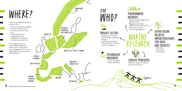**together !**

A distributed JERICO Research Infrastructure:

These regional sites will be the JERICO Research Infrastructure nodes where future engagements for coastal observing at the national level will be fostered.

- Works across multiple regional sites that include most of European shelf and coastal seas.
- •Involves key partners recognised for their complementary expertise and observing capabilities.

## FOR ENVIRONMENT Agencies









- National and EU Regulations (MSFD, WFD, …)
- Regional commissions (OSPAR, HELCOM, ICES, …)
- Other policy makers
- (monitoring programs) &
- MARINE RESEARCH
- &  $\mathbf{C}$  $\begin{matrix} \downarrow \\ \downarrow \end{matrix}$  $\mathbf{C}$  $\bf G$ Service Providers
	- SMEs providing intermediate products and services

#### Other ocean related infrastructures for data, and services • EMODnet

• Copernicus • EuroGOOS

...

11